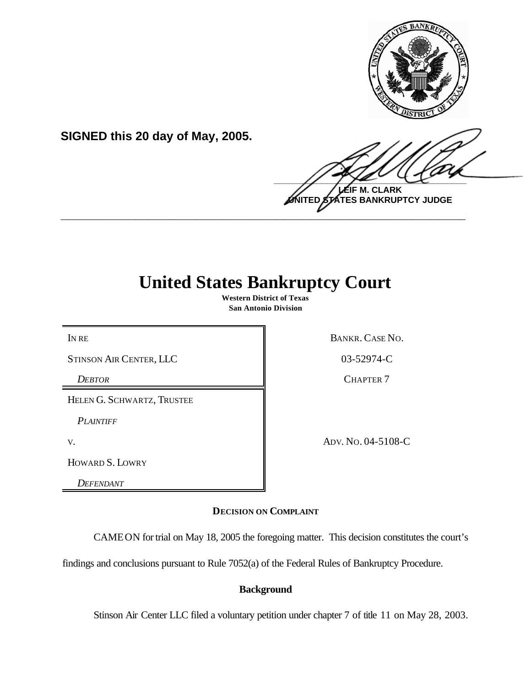

**SIGNED this 20 day of May, 2005.**

 $\frac{1}{2}$ **LEIF M. CLARK UNITED STATES BANKRUPTCY JUDGE**

# **United States Bankruptcy Court**

**\_\_\_\_\_\_\_\_\_\_\_\_\_\_\_\_\_\_\_\_\_\_\_\_\_\_\_\_\_\_\_\_\_\_\_\_\_\_\_\_\_\_\_\_\_\_\_\_\_\_\_\_\_\_\_\_\_\_\_\_**

**Western District of Texas San Antonio Division**

STINSON AIR CENTER, LLC 83-52974-C

HELEN G. SCHWARTZ, TRUSTEE

*PLAINTIFF*

HOWARD S. LOWRY

*DEFENDANT*

IN RE BANKR. CASE NO.

**DEBTOR** CHAPTER 7

v. ADV. No. 04-5108-C

**DECISION ON COMPLAINT**

CAMEON fortrial on May 18, 2005 the foregoing matter. This decision constitutes the court's

findings and conclusions pursuant to Rule 7052(a) of the Federal Rules of Bankruptcy Procedure.

# **Background**

Stinson Air Center LLC filed a voluntary petition under chapter 7 of title 11 on May 28, 2003.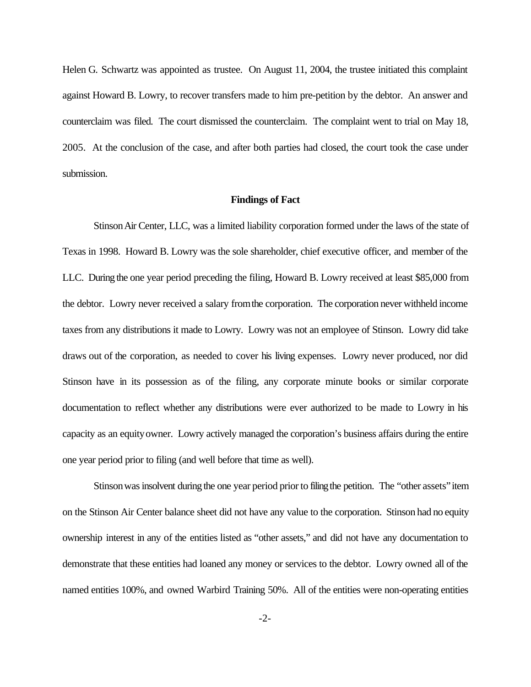Helen G. Schwartz was appointed as trustee. On August 11, 2004, the trustee initiated this complaint against Howard B. Lowry, to recover transfers made to him pre-petition by the debtor. An answer and counterclaim was filed. The court dismissed the counterclaim. The complaint went to trial on May 18, 2005. At the conclusion of the case, and after both parties had closed, the court took the case under submission.

### **Findings of Fact**

StinsonAir Center, LLC, was a limited liability corporation formed under the laws of the state of Texas in 1998. Howard B. Lowry was the sole shareholder, chief executive officer, and member of the LLC. During the one year period preceding the filing, Howard B. Lowry received at least \$85,000 from the debtor. Lowry never received a salary fromthe corporation. The corporation never withheld income taxes from any distributions it made to Lowry. Lowry was not an employee of Stinson. Lowry did take draws out of the corporation, as needed to cover his living expenses. Lowry never produced, nor did Stinson have in its possession as of the filing, any corporate minute books or similar corporate documentation to reflect whether any distributions were ever authorized to be made to Lowry in his capacity as an equityowner. Lowry actively managed the corporation's business affairs during the entire one year period prior to filing (and well before that time as well).

Stinson was insolvent during the one year period prior to filing the petition. The "other assets" item on the Stinson Air Center balance sheet did not have any value to the corporation. Stinson had no equity ownership interest in any of the entities listed as "other assets," and did not have any documentation to demonstrate that these entities had loaned any money or services to the debtor. Lowry owned all of the named entities 100%, and owned Warbird Training 50%. All of the entities were non-operating entities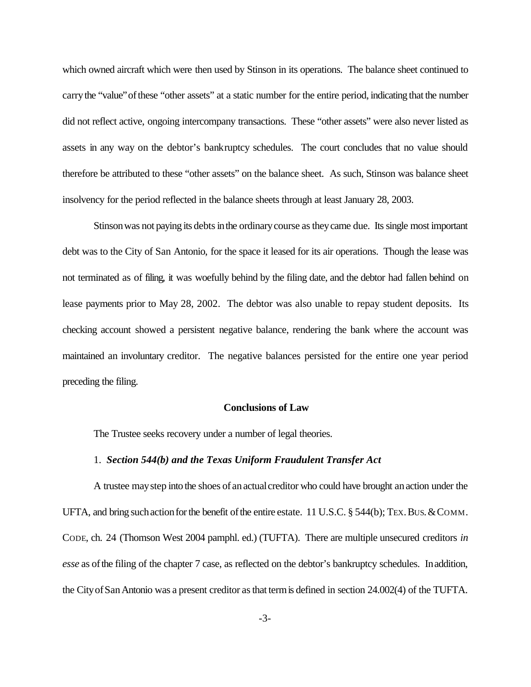which owned aircraft which were then used by Stinson in its operations. The balance sheet continued to carrythe "value"ofthese "other assets" at a static number for the entire period, indicating that the number did not reflect active, ongoing intercompany transactions. These "other assets" were also never listed as assets in any way on the debtor's bankruptcy schedules. The court concludes that no value should therefore be attributed to these "other assets" on the balance sheet. As such, Stinson was balance sheet insolvency for the period reflected in the balance sheets through at least January 28, 2003.

Stinson was not paying its debts in the ordinary course as they came due. Its single most important debt was to the City of San Antonio, for the space it leased for its air operations. Though the lease was not terminated as of filing, it was woefully behind by the filing date, and the debtor had fallen behind on lease payments prior to May 28, 2002. The debtor was also unable to repay student deposits. Its checking account showed a persistent negative balance, rendering the bank where the account was maintained an involuntary creditor. The negative balances persisted for the entire one year period preceding the filing.

# **Conclusions of Law**

The Trustee seeks recovery under a number of legal theories.

#### 1. *Section 544(b) and the Texas Uniform Fraudulent Transfer Act*

A trustee may step into the shoes of an actual creditor who could have brought an action under the UFTA, and bring such action for the benefit of the entire estate. 11 U.S.C.  $\S$  544(b); TEX. BUS. & COMM. CODE*,* ch. 24 (Thomson West 2004 pamphl. ed.) (TUFTA). There are multiple unsecured creditors *in esse* as ofthe filing of the chapter 7 case, as reflected on the debtor's bankruptcy schedules. Inaddition, the City of San Antonio was a present creditor as that term is defined in section 24.002(4) of the TUFTA.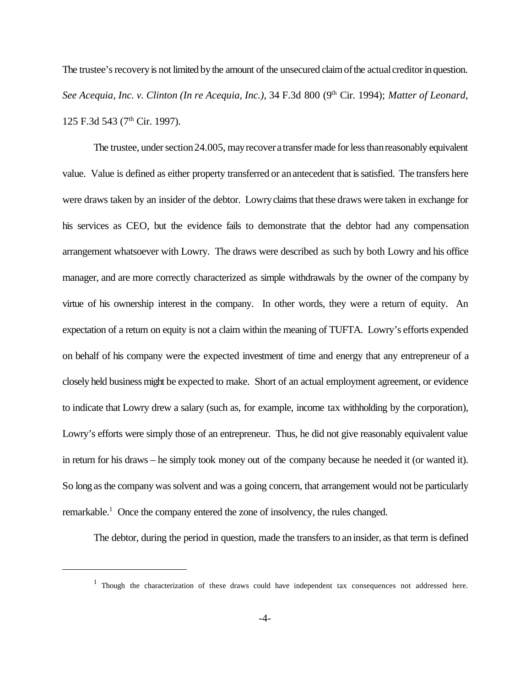The trustee's recovery is not limited by the amount of the unsecured claim of the actual creditor in question. See Acequia, Inc. v. Clinton (In re Acequia, Inc.), 34 F.3d 800 (9<sup>th</sup> Cir. 1994); *Matter of Leonard*, 125 F.3d 543 (7<sup>th</sup> Cir. 1997).

The trustee, under section 24.005, may recover a transfer made for less than reasonably equivalent value. Value is defined as either property transferred or an antecedent that is satisfied. The transfers here were draws taken by an insider of the debtor. Lowry claims that these draws were taken in exchange for his services as CEO, but the evidence fails to demonstrate that the debtor had any compensation arrangement whatsoever with Lowry. The draws were described as such by both Lowry and his office manager, and are more correctly characterized as simple withdrawals by the owner of the company by virtue of his ownership interest in the company. In other words, they were a return of equity. An expectation of a return on equity is not a claim within the meaning of TUFTA. Lowry's efforts expended on behalf of his company were the expected investment of time and energy that any entrepreneur of a closely held businessmight be expected to make. Short of an actual employment agreement, or evidence to indicate that Lowry drew a salary (such as, for example, income tax withholding by the corporation), Lowry's efforts were simply those of an entrepreneur. Thus, he did not give reasonably equivalent value in return for his draws – he simply took money out of the company because he needed it (or wanted it). So long as the company was solvent and was a going concern, that arrangement would not be particularly remarkable.<sup>1</sup> Once the company entered the zone of insolvency, the rules changed.

The debtor, during the period in question, made the transfers to aninsider, as that term is defined

<sup>&</sup>lt;sup>1</sup> Though the characterization of these draws could have independent tax consequences not addressed here.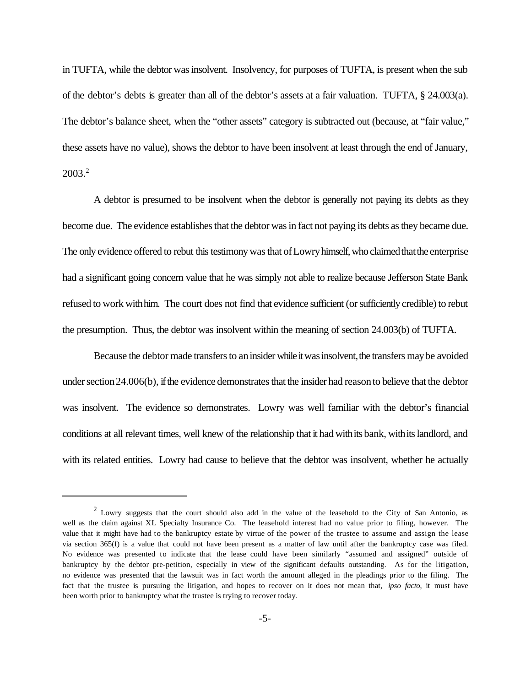in TUFTA, while the debtor was insolvent. Insolvency, for purposes of TUFTA, is present when the sub of the debtor's debts is greater than all of the debtor's assets at a fair valuation. TUFTA, § 24.003(a). The debtor's balance sheet, when the "other assets" category is subtracted out (because, at "fair value," these assets have no value), shows the debtor to have been insolvent at least through the end of January, 2003.<sup>2</sup>

A debtor is presumed to be insolvent when the debtor is generally not paying its debts as they become due. The evidence establishes that the debtor was in fact not paying its debts as they became due. The only evidence offered to rebut this testimony was that of Lowry himself, who claimed that the enterprise had a significant going concern value that he was simply not able to realize because Jefferson State Bank refused to work with him. The court does not find that evidence sufficient (or sufficiently credible) to rebut the presumption. Thus, the debtor was insolvent within the meaning of section 24.003(b) of TUFTA.

Because the debtor made transfers to an insider while it was insolvent, the transfers may be avoided under section  $24.006(b)$ , if the evidence demonstrates that the insider had reason to believe that the debtor was insolvent. The evidence so demonstrates. Lowry was well familiar with the debtor's financial conditions at all relevant times, well knew of the relationship that it had withits bank, withitslandlord, and with its related entities. Lowry had cause to believe that the debtor was insolvent, whether he actually

 $2$  Lowry suggests that the court should also add in the value of the leasehold to the City of San Antonio, as well as the claim against XL Specialty Insurance Co. The leasehold interest had no value prior to filing, however. The value that it might have had to the bankruptcy estate by virtue of the power of the trustee to assume and assign the lease via section 365(f) is a value that could not have been present as a matter of law until after the bankruptcy case was filed. No evidence was presented to indicate that the lease could have been similarly "assumed and assigned" outside of bankruptcy by the debtor pre-petition, especially in view of the significant defaults outstanding. As for the litigation, no evidence was presented that the lawsuit was in fact worth the amount alleged in the pleadings prior to the filing. The fact that the trustee is pursuing the litigation, and hopes to recover on it does not mean that, *ipso facto*, it must have been worth prior to bankruptcy what the trustee is trying to recover today.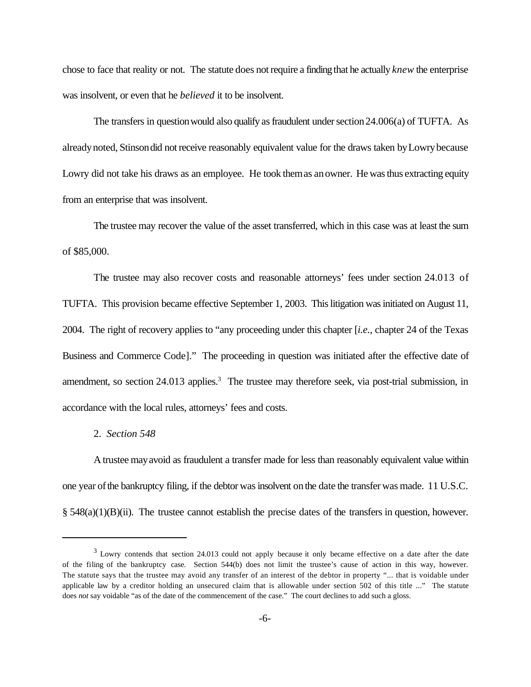chose to face that reality or not. The statute does not require a finding that he actually *knew* the enterprise was insolvent, or even that he *believed* it to be insolvent.

The transfers in question would also qualify as fraudulent under section 24.006(a) of TUFTA. As alreadynoted, Stinsondid notreceive reasonably equivalent value for the draws taken byLowrybecause Lowry did not take his draws as an employee. He took them as an owner. He was thus extracting equity from an enterprise that was insolvent.

The trustee may recover the value of the asset transferred, which in this case was at least the sum of \$85,000.

The trustee may also recover costs and reasonable attorneys' fees under section 24.013 of TUFTA. This provision became effective September 1, 2003. This litigation was initiated on August 11, 2004. The right of recovery applies to "any proceeding under this chapter [*i.e.*, chapter 24 of the Texas Business and Commerce Code]." The proceeding in question was initiated after the effective date of amendment, so section 24.013 applies.<sup>3</sup> The trustee may therefore seek, via post-trial submission, in accordance with the local rules, attorneys' fees and costs.

## 2. *Section 548*

A trustee mayavoid as fraudulent a transfer made for less than reasonably equivalent value within one year of the bankruptcy filing, if the debtor was insolvent on the date the transfer was made. 11 U.S.C. § 548(a)(1)(B)(ii). The trustee cannot establish the precise dates of the transfers in question, however.

 $3$  Lowry contends that section 24.013 could not apply because it only became effective on a date after the date of the filing of the bankruptcy case. Section 544(b) does not limit the trustee's cause of action in this way, however. The statute says that the trustee may avoid any transfer of an interest of the debtor in property "... that is voidable under applicable law by a creditor holding an unsecured claim that is allowable under section 502 of this title ..." The statute does *not* say voidable "as of the date of the commencement of the case." The court declines to add such a gloss.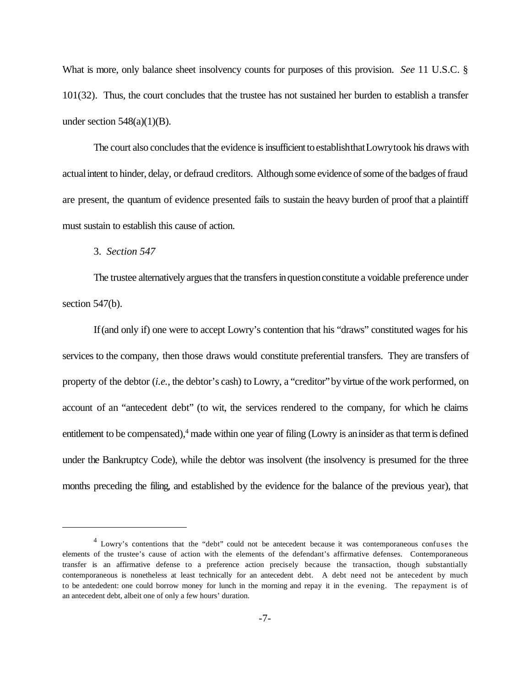What is more, only balance sheet insolvency counts for purposes of this provision. *See* 11 U.S.C. § 101(32). Thus, the court concludes that the trustee has not sustained her burden to establish a transfer under section  $548(a)(1)(B)$ .

The court also concludes that the evidence is insufficient to establishthat Lowrytook his draws with actualintent to hinder, delay, or defraud creditors. Although some evidence of some of the badges of fraud are present, the quantum of evidence presented fails to sustain the heavy burden of proof that a plaintiff must sustain to establish this cause of action.

#### 3. *Section 547*

The trustee alternatively argues that the transfers in question constitute a voidable preference under section 547(b).

If(and only if) one were to accept Lowry's contention that his "draws" constituted wages for his services to the company, then those draws would constitute preferential transfers. They are transfers of property of the debtor (*i.e.*, the debtor's cash) to Lowry, a "creditor" by virtue of the work performed, on account of an "antecedent debt" (to wit, the services rendered to the company, for which he claims entitlement to be compensated),<sup>4</sup> made within one year of filing (Lowry is an insider as that term is defined under the Bankruptcy Code), while the debtor was insolvent (the insolvency is presumed for the three months preceding the filing, and established by the evidence for the balance of the previous year), that

<sup>&</sup>lt;sup>4</sup> Lowry's contentions that the "debt" could not be antecedent because it was contemporaneous confuses the elements of the trustee's cause of action with the elements of the defendant's affirmative defenses. Contemporaneous transfer is an affirmative defense to a preference action precisely because the transaction, though substantially contemporaneous is nonetheless at least technically for an antecedent debt. A debt need not be antecedent by much to be antededent: one could borrow money for lunch in the morning and repay it in the evening. The repayment is of an antecedent debt, albeit one of only a few hours' duration.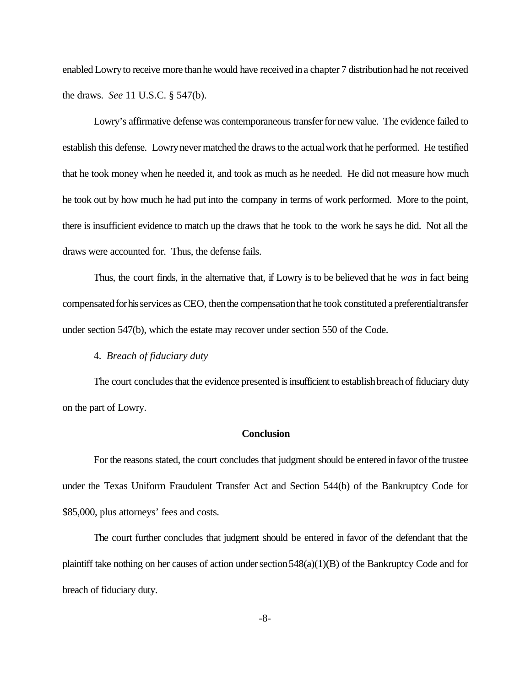enabled Lowry to receive more than he would have received in a chapter 7 distribution had he not received the draws. *See* 11 U.S.C. § 547(b).

Lowry's affirmative defense was contemporaneous transfer for new value. The evidence failed to establish this defense. Lowry never matched the draws to the actual work that he performed. He testified that he took money when he needed it, and took as much as he needed. He did not measure how much he took out by how much he had put into the company in terms of work performed. More to the point, there is insufficient evidence to match up the draws that he took to the work he says he did. Not all the draws were accounted for. Thus, the defense fails.

Thus, the court finds, in the alternative that, if Lowry is to be believed that he *was* in fact being compensated for his services as CEO, then the compensation that he took constituted a preferential transfer under section 547(b), which the estate may recover under section 550 of the Code.

# 4. *Breach of fiduciary duty*

The court concludes that the evidence presented is insufficient to establish breach of fiduciary duty on the part of Lowry.

## **Conclusion**

For the reasons stated, the court concludes that judgment should be entered in favor of the trustee under the Texas Uniform Fraudulent Transfer Act and Section 544(b) of the Bankruptcy Code for \$85,000, plus attorneys' fees and costs.

The court further concludes that judgment should be entered in favor of the defendant that the plaintiff take nothing on her causes of action under section  $548(a)(1)(B)$  of the Bankruptcy Code and for breach of fiduciary duty.